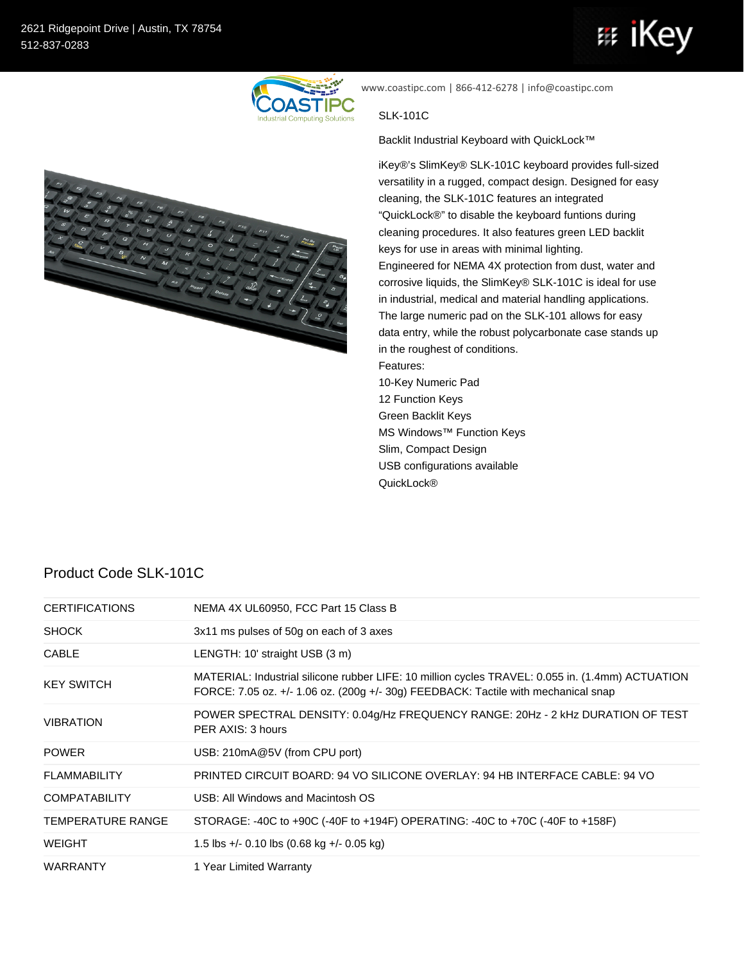## iKe 带



www.coastipc.com | 866-412-6278 | info@coastipc.com

## SLK-101C

Backlit Industrial Keyboard with QuickLock™

iKey®'s SlimKey® SLK-101C keyboard provides full-sized versatility in a rugged, compact design. Designed for easy cleaning, the SLK-101C features an integrated "QuickLock®" to disable the keyboard funtions during cleaning procedures. It also features green LED backlit keys for use in areas with minimal lighting. Engineered for NEMA 4X protection from dust, water and corrosive liquids, the SlimKey® SLK-101C is ideal for use in industrial, medical and material handling applications. The large numeric pad on the SLK-101 allows for easy data entry, while the robust polycarbonate case stands up in the roughest of conditions. Features: 10-Key Numeric Pad 12 Function Keys Green Backlit Keys MS Windows™ Function Keys Slim, Compact Design USB configurations available QuickLock®

## Product Code SLK-101C

| <b>CERTIFICATIONS</b>    | NEMA 4X UL60950, FCC Part 15 Class B                                                                                                                                                   |
|--------------------------|----------------------------------------------------------------------------------------------------------------------------------------------------------------------------------------|
| <b>SHOCK</b>             | 3x11 ms pulses of 50g on each of 3 axes                                                                                                                                                |
| <b>CABLE</b>             | LENGTH: 10' straight USB (3 m)                                                                                                                                                         |
| <b>KEY SWITCH</b>        | MATERIAL: Industrial silicone rubber LIFE: 10 million cycles TRAVEL: 0.055 in. (1.4mm) ACTUATION<br>FORCE: 7.05 oz. +/- 1.06 oz. (200g +/- 30g) FEEDBACK: Tactile with mechanical snap |
| <b>VIBRATION</b>         | POWER SPECTRAL DENSITY: 0.04g/Hz FREQUENCY RANGE: 20Hz - 2 kHz DURATION OF TEST<br>PER AXIS: 3 hours                                                                                   |
| <b>POWER</b>             | USB: 210mA@5V (from CPU port)                                                                                                                                                          |
| <b>FLAMMABILITY</b>      | PRINTED CIRCUIT BOARD: 94 VO SILICONE OVERLAY: 94 HB INTERFACE CABLE: 94 VO                                                                                                            |
| <b>COMPATABILITY</b>     | USB: All Windows and Macintosh OS                                                                                                                                                      |
| <b>TEMPERATURE RANGE</b> | STORAGE: -40C to +90C (-40F to +194F) OPERATING: -40C to +70C (-40F to +158F)                                                                                                          |
| <b>WEIGHT</b>            | 1.5 lbs $+/-$ 0.10 lbs (0.68 kg $+/-$ 0.05 kg)                                                                                                                                         |
| <b>WARRANTY</b>          | 1 Year Limited Warranty                                                                                                                                                                |